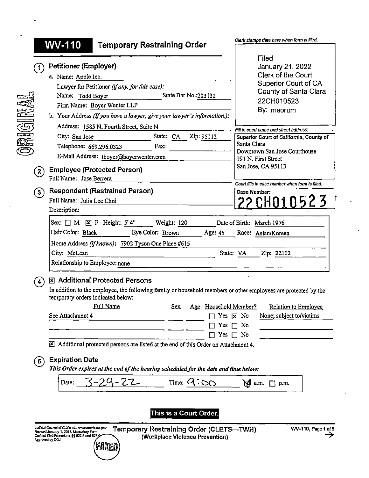|                      | <b>WV-110</b><br><b>Temporary Restraining Order</b>                                                                                                                                                                            | Clerk stamps date here when form is filed.             |  |  |  |
|----------------------|--------------------------------------------------------------------------------------------------------------------------------------------------------------------------------------------------------------------------------|--------------------------------------------------------|--|--|--|
|                      |                                                                                                                                                                                                                                | Filed                                                  |  |  |  |
|                      | <b>Petitioner (Employer)</b>                                                                                                                                                                                                   | January 21, 2022                                       |  |  |  |
|                      | a. Name: Apple Inc.                                                                                                                                                                                                            | Clerk of the Court                                     |  |  |  |
|                      | Lawyer for Petitioner (if any, for this case):                                                                                                                                                                                 | Superior Court of CA                                   |  |  |  |
|                      | State Bar No.: 203132<br>Name: Todd Boyer                                                                                                                                                                                      | County of Santa Clara                                  |  |  |  |
|                      | Firm Name: Boyer Wenter LLP                                                                                                                                                                                                    | 22CH010523                                             |  |  |  |
|                      | b. Your Address (If you have a lawyer, give your lawyer's information.):                                                                                                                                                       | By: msorum                                             |  |  |  |
|                      |                                                                                                                                                                                                                                |                                                        |  |  |  |
|                      | Address: 1585 N. Fourth Street, Suite N                                                                                                                                                                                        | Fill in court name and street address:                 |  |  |  |
|                      | City: San Jose<br>State: CA<br>Zip: 95112                                                                                                                                                                                      | Superior Court of California, County of<br>Santa Clara |  |  |  |
|                      | Telephone: 669.296.0323<br>Fax:                                                                                                                                                                                                | Downtown San Jose Courthouse                           |  |  |  |
|                      | E-Mail Address: tboyer@boyerwenter.com                                                                                                                                                                                         | 191 N. First Street                                    |  |  |  |
| $\mathbf{2}$         | <b>Employee (Protected Person)</b>                                                                                                                                                                                             | San Jose, CA 95113                                     |  |  |  |
|                      | Full Name: Jose Berrera                                                                                                                                                                                                        | Court fills in case number when form is filed.         |  |  |  |
| $\left( 3\right)$    | <b>Respondent (Restrained Person)</b>                                                                                                                                                                                          | Case Number:                                           |  |  |  |
|                      | Full Name: Julia Lee Choi                                                                                                                                                                                                      | <u>22 CHO1 0523</u>                                    |  |  |  |
|                      | Description:                                                                                                                                                                                                                   |                                                        |  |  |  |
| $\blacktriangleleft$ | Relationship to Employee: none<br><b>X</b> Additional Protected Persons<br>In addition to the employee, the following family or household members or other employees are protected by the<br>temporary orders indicated below: |                                                        |  |  |  |
|                      |                                                                                                                                                                                                                                |                                                        |  |  |  |
|                      | <b>Full Name</b><br>Age Household Member?<br><b>Sex</b>                                                                                                                                                                        | Relation to Employee                                   |  |  |  |
|                      | See Attachment 4                                                                                                                                                                                                               | None; subject to/victims<br>Yes [x] No                 |  |  |  |
|                      | Yes.                                                                                                                                                                                                                           | No                                                     |  |  |  |
|                      | Yes                                                                                                                                                                                                                            | $\Box$ No                                              |  |  |  |
| <b>6)</b>            | X Additional protected persons are listed at the end of this Order on Attachment 4.<br><b>Expiration Date</b><br>This Order expires at the end of the hearing scheduled for the date and time below:                           |                                                        |  |  |  |
|                      | 3-29-22<br>$Time: \alpha$<br>$SO^{\mathbb{Z}}$<br>Date:                                                                                                                                                                        | $\Sigma$ a.m.<br>$\Box$ p.m.                           |  |  |  |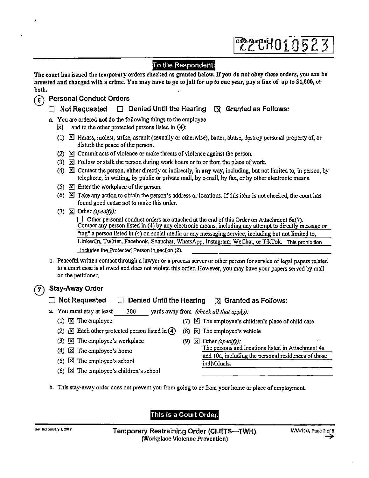|                  |                                                                                                                                                                                                                                                            | <b>CRAMPEH010523</b>                                                                                                                                                                                                                                       |  |  |  |  |
|------------------|------------------------------------------------------------------------------------------------------------------------------------------------------------------------------------------------------------------------------------------------------------|------------------------------------------------------------------------------------------------------------------------------------------------------------------------------------------------------------------------------------------------------------|--|--|--|--|
| both.            |                                                                                                                                                                                                                                                            | To the Respondent:<br>The court has issued the temporary orders checked as granted below. If you do not obey these orders, you can be<br>arrested and charged with a crime. You may have to go to jail for up to one year, pay a fine of up to \$1,000, or |  |  |  |  |
| $\left[6\right)$ |                                                                                                                                                                                                                                                            | <b>Personal Conduct Orders</b>                                                                                                                                                                                                                             |  |  |  |  |
|                  |                                                                                                                                                                                                                                                            | Denied Until the Hearing<br>$\boxtimes$ Granted as Follows:<br><b>Not Requested</b>                                                                                                                                                                        |  |  |  |  |
|                  |                                                                                                                                                                                                                                                            | a. You are ordered not do the following things to the employee<br>and to the other protected persons listed in $(4)$ :<br>図                                                                                                                                |  |  |  |  |
|                  | $(1)$ $\boxtimes$ Harass, molest, strike, assault (sexually or otherwise), batter, abuse, destroy personal property of, or<br>disturb the peace of the person.                                                                                             |                                                                                                                                                                                                                                                            |  |  |  |  |
|                  |                                                                                                                                                                                                                                                            | (2) <b>X</b> Commit acts of violence or make threats of violence against the person.                                                                                                                                                                       |  |  |  |  |
|                  |                                                                                                                                                                                                                                                            | (3) <b>EX</b> Follow or stalk the person during work hours or to or from the place of work.                                                                                                                                                                |  |  |  |  |
|                  | (4) $\boxtimes$ Contact the person, either directly or indirectly, in any way, including, but not limited to, in person, by<br>telephone, in writing, by public or private mail, by e-mail, by fax, or by other electronic means.                          |                                                                                                                                                                                                                                                            |  |  |  |  |
|                  |                                                                                                                                                                                                                                                            | (5) $\boxtimes$ Enter the workplace of the person.                                                                                                                                                                                                         |  |  |  |  |
|                  |                                                                                                                                                                                                                                                            | (6) $\boxtimes$ Take any action to obtain the person's address or locations. If this item is not checked, the court has<br>found good cause not to make this order.                                                                                        |  |  |  |  |
|                  |                                                                                                                                                                                                                                                            | (7) $\boxtimes$ Other (specify):                                                                                                                                                                                                                           |  |  |  |  |
|                  |                                                                                                                                                                                                                                                            | $\Box$ Other personal conduct orders are attached at the end of this Order on Attachment 6a(7).<br>Contact any person listed in (4) by any electronic means, including any attempt to directly message or                                                  |  |  |  |  |
|                  |                                                                                                                                                                                                                                                            | tag" a person listed in (4) on social media or any messaging service, including but not limited to,                                                                                                                                                        |  |  |  |  |
|                  |                                                                                                                                                                                                                                                            | LinkedIn, Twitter, Facebook, Snapchat, WhatsApp, Instagram, WeChat, or TikTok. This prohibition                                                                                                                                                            |  |  |  |  |
|                  |                                                                                                                                                                                                                                                            | includes the Protected Person in section (2).                                                                                                                                                                                                              |  |  |  |  |
|                  | b. Peaceful written contact through a lawyer or a process server or other person for service of legal papers related<br>to a court case is allowed and does not violate this order. However, you may have your papers served by mail<br>on the petitioner. |                                                                                                                                                                                                                                                            |  |  |  |  |
|                  |                                                                                                                                                                                                                                                            | Stay-Away Order                                                                                                                                                                                                                                            |  |  |  |  |
|                  | <b>Not Requested</b><br>Denied Until the Hearing<br>$[\times] Granted as Follows.$                                                                                                                                                                         |                                                                                                                                                                                                                                                            |  |  |  |  |
|                  |                                                                                                                                                                                                                                                            | a. You must stay at least<br>200<br>yards away from (check all that apply):                                                                                                                                                                                |  |  |  |  |

- 
- (2)  $\boxed{\mathbb{X}}$  Each other protected person listed in  $\boxed{\mathbb{A}}$  (8)  $\boxed{\mathbb{X}}$  The employee's vehicle
- (3)  $\boxtimes$  The employee's workplace (9)  $\boxtimes$  Other (specify):
- (4)  $\boxtimes$  The employee's home
- (5)  $\boxtimes$  The employee's school
- (6)  $\boxtimes$  The employee's children's school
- b. This stay-away order does not prevent you from going to or from your home or place of employment.

## This is a Court Order.

- (1)  $\boxtimes$  The employee (7)  $\boxtimes$  The employee's children's place of child care
	- - The persons and locations listed in Attachment 4a and 10a, including the personal residences of those individuals.
- -
	-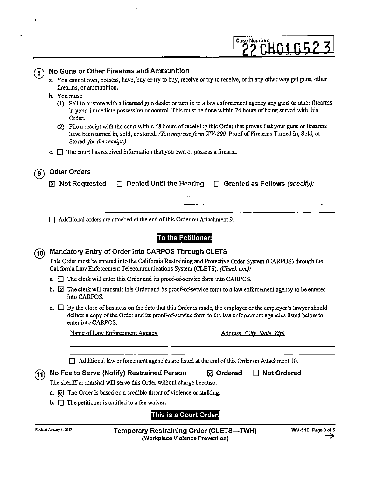# Case Number: <u>22 CHO1 U52 3</u>

|      | a. You cannot own, possess, have, buy or try to buy, receive or try to receive, or in any other way get guns, other<br>firearms, or ammunition.                                                                                                                                                                                                                                                                                                                                                              |  |  |  |  |
|------|--------------------------------------------------------------------------------------------------------------------------------------------------------------------------------------------------------------------------------------------------------------------------------------------------------------------------------------------------------------------------------------------------------------------------------------------------------------------------------------------------------------|--|--|--|--|
|      | b. You must:<br>(1) Sell to or store with a licensed gun dealer or turn in to a law enforcement agency any guns or other firearms<br>in your immediate possession or control. This must be done within 24 hours of being served with this<br>Order.<br>(2) File a receipt with the court within 48 hours of receiving this Order that proves that your guns or firearms<br>have been turned in, sold, or stored. (You may use form WV-800, Proof of Firearms Turned In, Sold, or<br>Stored for the receipt.) |  |  |  |  |
|      | c. $\Box$ The court has received information that you own or possess a firearm.                                                                                                                                                                                                                                                                                                                                                                                                                              |  |  |  |  |
| 9    | <b>Other Orders</b>                                                                                                                                                                                                                                                                                                                                                                                                                                                                                          |  |  |  |  |
|      | <b>⊠</b> Not Requested<br>$\Box$ Denied Until the Hearing<br>Granted as Follows (specify):<br>$\Box$                                                                                                                                                                                                                                                                                                                                                                                                         |  |  |  |  |
|      |                                                                                                                                                                                                                                                                                                                                                                                                                                                                                                              |  |  |  |  |
|      | Additional orders are attached at the end of this Order on Attachment 9.                                                                                                                                                                                                                                                                                                                                                                                                                                     |  |  |  |  |
|      | To the Petitioner:                                                                                                                                                                                                                                                                                                                                                                                                                                                                                           |  |  |  |  |
| (10) | Mandatory Entry of Order Into CARPOS Through CLETS                                                                                                                                                                                                                                                                                                                                                                                                                                                           |  |  |  |  |
|      | This Order must be entered into the California Restraining and Protective Order System (CARPOS) through the<br>California Law Enforcement Telecommunications System (CLETS). (Check one):                                                                                                                                                                                                                                                                                                                    |  |  |  |  |
|      | $a.$ The clerk will enter this Order and its proof-of-service form into CARPOS.                                                                                                                                                                                                                                                                                                                                                                                                                              |  |  |  |  |
|      | b. $\boxtimes$ The clerk will transmit this Order and its proof-of-service form to a law enforcement agency to be entered<br>into CARPOS.                                                                                                                                                                                                                                                                                                                                                                    |  |  |  |  |
|      | c. $\Box$ By the close of business on the date that this Order is made, the employer or the employer's lawyer should<br>deliver a copy of the Order and its proof-of-service form to the law enforcement agencies listed below to<br>enter into CARPOS:                                                                                                                                                                                                                                                      |  |  |  |  |
|      | Name of Law Enforcement Agency<br>Address (City, State, Zip)                                                                                                                                                                                                                                                                                                                                                                                                                                                 |  |  |  |  |
|      |                                                                                                                                                                                                                                                                                                                                                                                                                                                                                                              |  |  |  |  |
|      | Additional law enforcement agencies are listed at the end of this Order on Attachment 10.                                                                                                                                                                                                                                                                                                                                                                                                                    |  |  |  |  |
| (11) | No Fee to Serve (Notify) Restrained Person<br><b>⊠</b> Ordered<br><b>Not Ordered</b>                                                                                                                                                                                                                                                                                                                                                                                                                         |  |  |  |  |
|      | The sheriff or marshal will serve this Order without charge because:                                                                                                                                                                                                                                                                                                                                                                                                                                         |  |  |  |  |
|      | a. $\boxtimes$ The Order is based on a credible threat of violence or stalking.                                                                                                                                                                                                                                                                                                                                                                                                                              |  |  |  |  |
|      | The petitioner is entitled to a fee waiver.<br>b.                                                                                                                                                                                                                                                                                                                                                                                                                                                            |  |  |  |  |
|      | This is a Court Order.                                                                                                                                                                                                                                                                                                                                                                                                                                                                                       |  |  |  |  |
|      | WV-110, Page 3 of 5<br>Rovised January 1, 2017<br>Temporary Restraining Order (CLETS—TWH)                                                                                                                                                                                                                                                                                                                                                                                                                    |  |  |  |  |
|      | (Workplace Violence Prevention)                                                                                                                                                                                                                                                                                                                                                                                                                                                                              |  |  |  |  |

No Guns or Other Firearms and Ammunition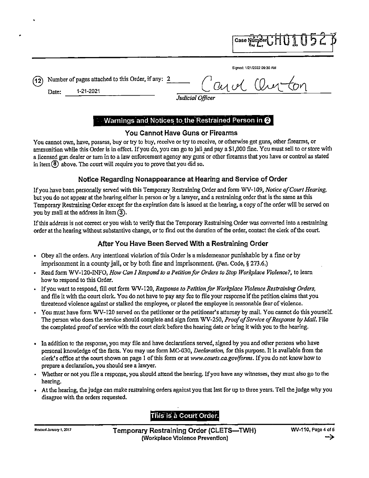Signed: 1/21/2022 09:30 AM

Case Number

Number of pages attached to this Order, if any: 2 (12`

1-21-2021

Date:

Judicial Officer

## Warnings and Notices to the Restrained Person in @

#### You Cannot Have Guns or Firearms

You cannot own, have, possess, buy or try to buy, receive or try to receive, or otherwise get guns, other firearms, or ammunition while this Order is in effect. If you do, you can go to jail and pay a \$1,000 fine. You must sell to or store with a licensed gun dealer or turn in to a law enforcement agency any guns or other firearms that you have or control as stated in item  $\left(\frac{1}{2}\right)$  above. The court will require you to prove that you did so.

### Notice Regarding Nonappearance at Hearing and Service of Order

If you have been personally served with this Temporary Restraining Order and form WV-109, Notice of Court Hearing, but you do not appear at the hearing either in person or by a lawyer, and a restraining order that is the same as this Temporary Restraining Order except for the expiration date is issued at the hearing, a copy of the order will be served on you by mail at the address in item  $(3)$ .

If this address is not correct or you wish to verify that the Temporary Restraining Order was converted into a restraining order at the hearing without substantive change, or to find out the duration of the order, contact the clerk of the court.

## After You Have Been Served With a Restraining Order

- Obey all the orders. Any intentional violation of this Order is a misdemeanor punishable by a fine or by imprisonment in a county jail, or by both fine and imprisonment. (Pen. Code,  $\S 273.6$ .)
- Read form WV-120-INFO, How Can I Respond to a Petition for Orders to Stop Workplace Violence?, to learn how to respond to this Order.
- If you want to respond, fill out form WV-120, Response to Petition for Workplace Violence Restraining Orders, and file it with the court clerk. You do not have to pay any fee to file your response if the petition claims that you threatened violence against or stalked the employee, or placed the employee in reasonable fear of violence.
- You must have form WV-120 served on the petitioner or the petitioner's attorney by mail. You cannot do this yourself. The person who does the service should complete and sign form WV-250, Proof of Service of Response by Mail. File the completed proof of service with the court clerk before the hearing date or bring it with you to the hearing.
- In addition to the response, you may file and have declarations served, signed by you and other persons who have personal knowledge of the facts. You may use form MC-030, *Declaration*, for this purpose. It is available from the clerk's office at the court shown on page 1 of this form or at www.courts.ca.gov/forms. If you do not know how to prepare a declaration, you should see a lawyer.
- Whether or not you file a response, you should attend the hearing. If you have any witnesses, they must also go to the hearing.
- At the hearing, the judge can make restraining orders against you that last for up to three years. Tell the judge why you disagree with the orders requested.

## This is a Court Order.

Revised January 1, 2017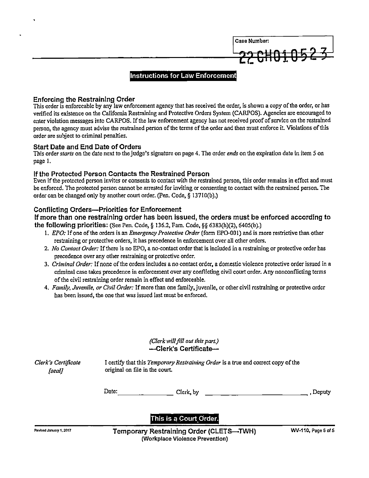

#### **Instructions for Law Enforcement**

#### Enforcing the Restraining Order

This order is enforceable by any law enforcement agency that has received the order, is shown a copy of the order, or has verified its existence on the California Restraining and Protective Orders System (CARPOS). Agencies are encouraged to enter violation messages into CARPOS. If the law enforcement agency has not received proof of service on the restrained person, the agency must advise the restrained person of the terms of the order and then must enforce it. Violations of this order are subject to criminal penalties.

#### Start Date and End Date of Orders

This order starts on the date next to the judge's signature on page 4. The order ends on the expiration date in item 5 on page 1.

#### If the Protected Person Contacts the Restrained Person

Even if the protected person invites or consents to contact with the restrained person, this order remains in effect and must be enforced. Thc protected person cannot bc arrested for inviting or consenting to contact with the restrained person. The order can be changed only by another court order. (Pen. Code,  $\S$  13710(b).)

#### Conflicting Orders—Priorities for Enforcement

If more than one restraining order has been issued, the orders must be enforced according to the following priorities: (See Pen. Code,  $\S$  136.2, Fam. Code,  $\S$  $\S$  6383(h)(2), 6405(b).)

- 1. EPO: If one of the orders is an Emergency Protective Order (form EPO-001) and is more restrictive than other restraining or protective orders, it has precedence in enforcement over all other orders.
- 2. No Contact Order: If there is no EPO, a no-contact order that is included in a restraining or protective order has precedence over any other restraining or protective order.
- 3. Criminal Order: If none of the orders includes a no contact order, a domestic violence protective order issued in a criminal case takes precedence in enforcement over any conflicting civil court order. Any nonconflicting terms of the civil restraining order remain in effect and enforceable.
- 4. Family, Juvenile, or Civil Order: If more than one family, juvenile, or other civil restraining or protective order has been issued, the one that was issued last must be enforced.

#### (Clerk will fill out this part.) —-—Clerk's Certificate—

[seal]

Clerk's Certificate I certify that this Temporary Restraining Order is a true and correct copy of the original on file in the court.

| Date: | Clerk, by | , Deputy |
|-------|-----------|----------|
|       |           |          |

This is a Court Order.

Revised January 1, 2017 **Temporary Restraining Order (CLETS—TWH)** WV-110, Page 5 of 5 (Workplace Violence Prevention)